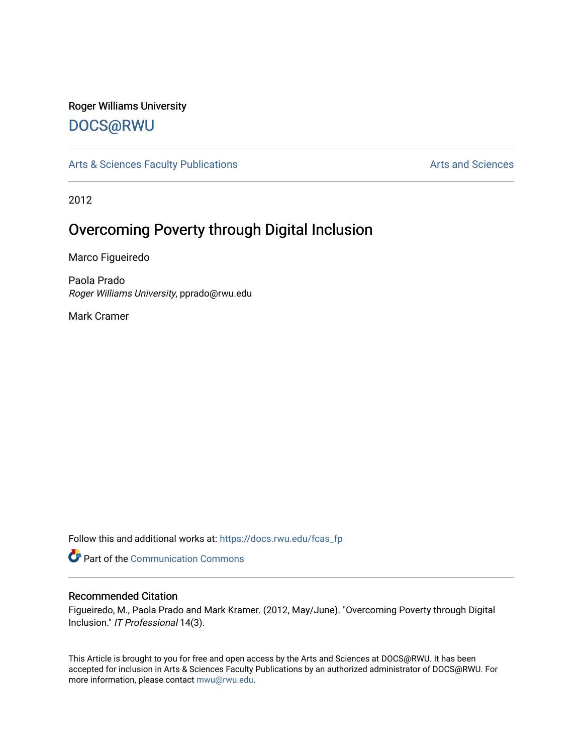#### Roger Williams University

### [DOCS@RWU](https://docs.rwu.edu/)

[Arts & Sciences Faculty Publications](https://docs.rwu.edu/fcas_fp) **Arts and Sciences** Arts and Sciences

2012

## Overcoming Poverty through Digital Inclusion

Marco Figueiredo

Paola Prado Roger Williams University, pprado@rwu.edu

Mark Cramer

Follow this and additional works at: [https://docs.rwu.edu/fcas\\_fp](https://docs.rwu.edu/fcas_fp?utm_source=docs.rwu.edu%2Ffcas_fp%2F301&utm_medium=PDF&utm_campaign=PDFCoverPages)

**Part of the Communication Commons** 

#### Recommended Citation

Figueiredo, M., Paola Prado and Mark Kramer. (2012, May/June). "Overcoming Poverty through Digital Inclusion." IT Professional 14(3).

This Article is brought to you for free and open access by the Arts and Sciences at DOCS@RWU. It has been accepted for inclusion in Arts & Sciences Faculty Publications by an authorized administrator of DOCS@RWU. For more information, please contact [mwu@rwu.edu](mailto:mwu@rwu.edu).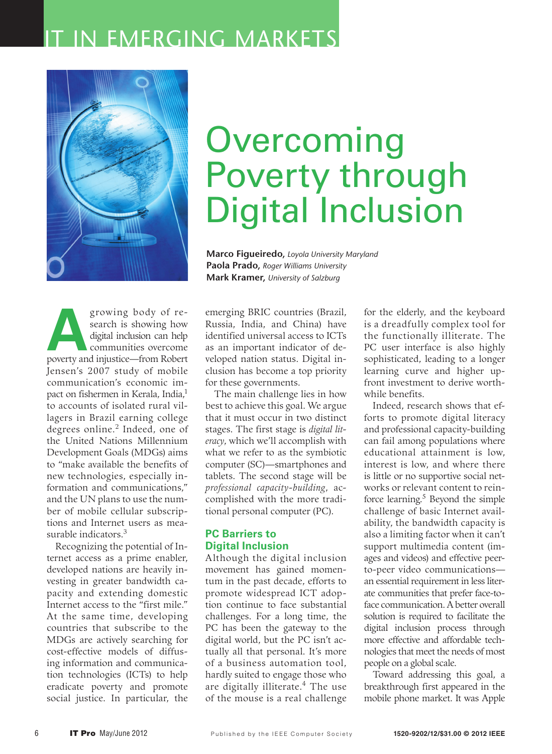# IT IN EMERGING MARKETS



**Agrowing body of research is showing how digital inclusion can help communities overcome poverty and injustice—from Robert** search is showing how digital inclusion can help communities overcome Jensen's 2007 study of mobile communication's economic impact on fishermen in Kerala, India,<sup>1</sup> to accounts of isolated rural villagers in Brazil earning college degrees online.<sup>2</sup> Indeed, one of the United Nations Millennium Development Goals (MDGs) aims to "make available the benefits of new technologies, especially information and communications," and the UN plans to use the number of mobile cellular subscriptions and Internet users as measurable indicators.<sup>3</sup>

Recognizing the potential of Internet access as a prime enabler, developed nations are heavily investing in greater bandwidth capacity and extending domestic Internet access to the "first mile." At the same time, developing countries that subscribe to the MDGs are actively searching for cost-effective models of diffusing information and communication technologies (ICTs) to help eradicate poverty and promote social justice. In particular, the

# **Overcoming** Poverty through Digital Inclusion

**Marco Figueiredo,** *Loyola University Maryland* **Paola Prado,** *Roger Williams University* **Mark Kramer,** *University of Salzburg*

emerging BRIC countries (Brazil, Russia, India, and China) have identified universal access to ICTs as an important indicator of developed nation status. Digital inclusion has become a top priority for these governments.

The main challenge lies in how best to achieve this goal. We argue that it must occur in two distinct stages. The first stage is *digital literacy*, which we'll accomplish with what we refer to as the symbiotic computer (SC)—smartphones and tablets. The second stage will be *professional capacity-building*, accomplished with the more traditional personal computer (PC).

#### **PC Barriers to Digital Inclusion**

Although the digital inclusion movement has gained momentum in the past decade, efforts to promote widespread ICT adoption continue to face substantial challenges. For a long time, the PC has been the gateway to the digital world, but the PC isn't actually all that personal. It's more of a business automation tool, hardly suited to engage those who are digitally illiterate.<sup>4</sup> The use of the mouse is a real challenge for the elderly, and the keyboard is a dreadfully complex tool for the functionally illiterate. The PC user interface is also highly sophisticated, leading to a longer learning curve and higher upfront investment to derive worthwhile benefits.

Indeed, research shows that efforts to promote digital literacy and professional capacity-building can fail among populations where educational attainment is low, interest is low, and where there is little or no supportive social networks or relevant content to reinforce learning.<sup>5</sup> Beyond the simple challenge of basic Internet availability, the bandwidth capacity is also a limiting factor when it can't support multimedia content (images and videos) and effective peerto-peer video communications an essential requirement in less literate communities that prefer face-toface communication. A better overall solution is required to facilitate the digital inclusion process through more effective and affordable technologies that meet the needs of most people on a global scale.

Toward addressing this goal, a breakthrough first appeared in the mobile phone market. It was Apple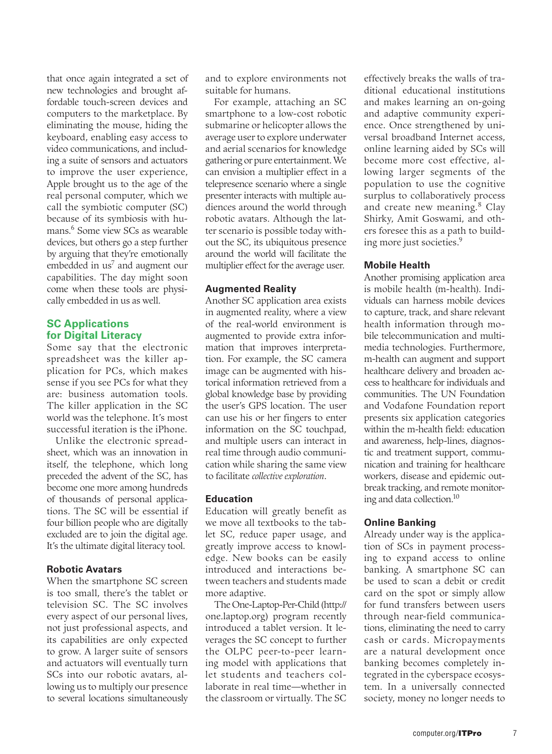that once again integrated a set of new technologies and brought affordable touch-screen devices and computers to the marketplace. By eliminating the mouse, hiding the keyboard, enabling easy access to video communications, and including a suite of sensors and actuators to improve the user experience, Apple brought us to the age of the real personal computer, which we call the symbiotic computer (SC) because of its symbiosis with humans.6 Some view SCs as wearable devices, but others go a step further by arguing that they're emotionally embedded in  $us<sup>7</sup>$  and augment our capabilities. The day might soon come when these tools are physically embedded in us as well.

#### **SC Applications for Digital Literacy**

Some say that the electronic spreadsheet was the killer application for PCs, which makes sense if you see PCs for what they are: business automation tools. The killer application in the SC world was the telephone. It's most successful iteration is the iPhone.

Unlike the electronic spreadsheet, which was an innovation in itself, the telephone, which long preceded the advent of the SC, has become one more among hundreds of thousands of personal applications. The SC will be essential if four billion people who are digitally excluded are to join the digital age. It's the ultimate digital literacy tool.

#### **Robotic Avatars**

When the smartphone SC screen is too small, there's the tablet or television SC. The SC involves every aspect of our personal lives, not just professional aspects, and its capabilities are only expected to grow. A larger suite of sensors and actuators will eventually turn SCs into our robotic avatars, allowing us to multiply our presence to several locations simultaneously and to explore environments not suitable for humans.

For example, attaching an SC smartphone to a low-cost robotic submarine or helicopter allows the average user to explore underwater and aerial scenarios for knowledge gathering or pure entertainment. We can envision a multiplier effect in a telepresence scenario where a single presenter interacts with multiple audiences around the world through robotic avatars. Although the latter scenario is possible today without the SC, its ubiquitous presence around the world will facilitate the multiplier effect for the average user.

#### **Augmented Reality**

Another SC application area exists in augmented reality, where a view of the real-world environment is augmented to provide extra information that improves interpretation. For example, the SC camera image can be augmented with historical information retrieved from a global knowledge base by providing the user's GPS location. The user can use his or her fingers to enter information on the SC touchpad, and multiple users can interact in real time through audio communication while sharing the same view to facilitate *collective exploration*.

#### **Education**

Education will greatly benefit as we move all textbooks to the tablet SC, reduce paper usage, and greatly improve access to knowledge. New books can be easily introduced and interactions between teachers and students made more adaptive.

The One-Laptop-Per-Child (http:// one.laptop.org) program recently introduced a tablet version. It leverages the SC concept to further the OLPC peer-to-peer learning model with applications that let students and teachers collaborate in real time—whether in the classroom or virtually. The SC

effectively breaks the walls of traditional educational institutions and makes learning an on-going and adaptive community experience. Once strengthened by universal broadband Internet access, online learning aided by SCs will become more cost effective, allowing larger segments of the population to use the cognitive surplus to collaboratively process and create new meaning.<sup>8</sup> Clay Shirky, Amit Goswami, and others foresee this as a path to building more just societies.<sup>9</sup>

#### **Mobile Health**

Another promising application area is mobile health (m-health). Individuals can harness mobile devices to capture, track, and share relevant health information through mobile telecommunication and multimedia technologies. Furthermore, m-health can augment and support healthcare delivery and broaden access to healthcare for individuals and communities. The UN Foundation and Vodafone Foundation report presents six application categories within the m-health field: education and awareness, help-lines, diagnostic and treatment support, communication and training for healthcare workers, disease and epidemic outbreak tracking, and remote monitoring and data collection.<sup>10</sup>

#### **Online Banking**

Already under way is the application of SCs in payment processing to expand access to online banking. A smartphone SC can be used to scan a debit or credit card on the spot or simply allow for fund transfers between users through near-field communications, eliminating the need to carry cash or cards. Micropayments are a natural development once banking becomes completely integrated in the cyberspace ecosystem. In a universally connected society, money no longer needs to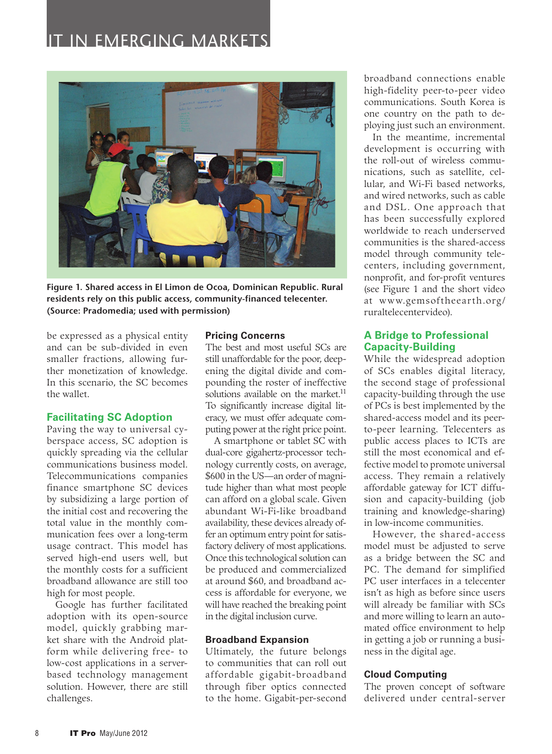## IT IN FMFRGING MARKETS



**Figure 1. Shared access in El Limon de Ocoa, Dominican Republic. Rural residents rely on this public access, community-financed telecenter. (Source: Pradomedia; used with permission)**

be expressed as a physical entity and can be sub-divided in even smaller fractions, allowing further monetization of knowledge. In this scenario, the SC becomes the wallet.

#### **Facilitating SC Adoption**

Paving the way to universal cyberspace access, SC adoption is quickly spreading via the cellular communications business model. Telecommunications companies finance smartphone SC devices by subsidizing a large portion of the initial cost and recovering the total value in the monthly communication fees over a long-term usage contract. This model has served high-end users well, but the monthly costs for a sufficient broadband allowance are still too high for most people.

Google has further facilitated adoption with its open-source model, quickly grabbing market share with the Android platform while delivering free- to low-cost applications in a serverbased technology management solution. However, there are still challenges.

#### **Pricing Concerns**

The best and most useful SCs are still unaffordable for the poor, deepening the digital divide and compounding the roster of ineffective solutions available on the market. $^{11}$ To significantly increase digital literacy, we must offer adequate computing power at the right price point.

A smartphone or tablet SC with dual-core gigahertz-processor technology currently costs, on average, \$600 in the US—an order of magnitude higher than what most people can afford on a global scale. Given abundant Wi-Fi-like broadband availability, these devices already offer an optimum entry point for satisfactory delivery of most applications. Once this technological solution can be produced and commercialized at around \$60, and broadband access is affordable for everyone, we will have reached the breaking point in the digital inclusion curve.

#### **Broadband Expansion**

Ultimately, the future belongs to communities that can roll out affordable gigabit-broadband through fiber optics connected to the home. Gigabit-per-second broadband connections enable high-fidelity peer-to-peer video communications. South Korea is one country on the path to deploying just such an environment.

In the meantime, incremental development is occurring with the roll-out of wireless communications, such as satellite, cellular, and Wi-Fi based networks, and wired networks, such as cable and DSL. One approach that has been successfully explored worldwide to reach underserved communities is the shared-access model through community telecenters, including government, nonprofit, and for-profit ventures (see Figure 1 and the short video at www.gemsoftheearth.org/ ruraltelecentervideo).

#### **A Bridge to Professional Capacity-Building**

While the widespread adoption of SCs enables digital literacy, the second stage of professional capacity-building through the use of PCs is best implemented by the shared-access model and its peerto-peer learning. Telecenters as public access places to ICTs are still the most economical and effective model to promote universal access. They remain a relatively affordable gateway for ICT diffusion and capacity-building (job training and knowledge-sharing) in low-income communities.

However, the shared-access model must be adjusted to serve as a bridge between the SC and PC. The demand for simplified PC user interfaces in a telecenter isn't as high as before since users will already be familiar with SCs and more willing to learn an automated office environment to help in getting a job or running a business in the digital age.

#### **Cloud Computing**

The proven concept of software delivered under central-server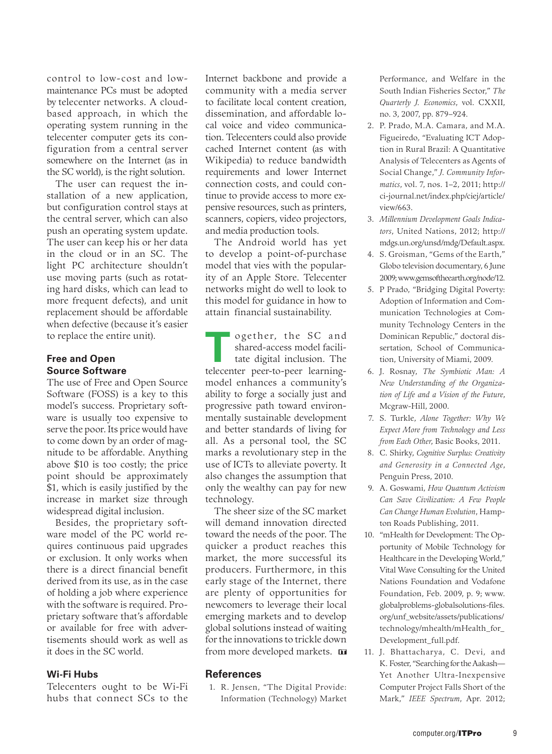control to low-cost and lowmaintenance PCs must be adopted by telecenter networks. A cloudbased approach, in which the operating system running in the telecenter computer gets its configuration from a central server somewhere on the Internet (as in the SC world), is the right solution.

The user can request the installation of a new application, but configuration control stays at the central server, which can also push an operating system update. The user can keep his or her data in the cloud or in an SC. The light PC architecture shouldn't use moving parts (such as rotating hard disks, which can lead to more frequent defects), and unit replacement should be affordable when defective (because it's easier to replace the entire unit).

#### **Free and Open Source Software**

The use of Free and Open Source Software (FOSS) is a key to this model's success. Proprietary software is usually too expensive to serve the poor. Its price would have to come down by an order of magnitude to be affordable. Anything above \$10 is too costly; the price point should be approximately \$1, which is easily justified by the increase in market size through widespread digital inclusion.

Besides, the proprietary software model of the PC world requires continuous paid upgrades or exclusion. It only works when there is a direct financial benefit derived from its use, as in the case of holding a job where experience with the software is required. Proprietary software that's affordable or available for free with advertisements should work as well as it does in the SC world.

#### **Wi-Fi Hubs**

Telecenters ought to be Wi-Fi hubs that connect SCs to the Internet backbone and provide a community with a media server to facilitate local content creation, dissemination, and affordable local voice and video communication. Telecenters could also provide cached Internet content (as with Wikipedia) to reduce bandwidth requirements and lower Internet connection costs, and could continue to provide access to more expensive resources, such as printers, scanners, copiers, video projectors, and media production tools.

The Android world has yet to develop a point-of-purchase model that vies with the popularity of an Apple Store. Telecenter networks might do well to look to this model for guidance in how to attain financial sustainability.

**T**ogether, the SC and<br>shared-access model facili-<br>tate digital inclusion. The shared-access model facilitate digital inclusion. The telecenter peer-to-peer learningmodel enhances a community's ability to forge a socially just and progressive path toward environmentally sustainable development and better standards of living for all. As a personal tool, the SC marks a revolutionary step in the use of ICTs to alleviate poverty. It also changes the assumption that only the wealthy can pay for new technology.

The sheer size of the SC market will demand innovation directed toward the needs of the poor. The quicker a product reaches this market, the more successful its producers. Furthermore, in this early stage of the Internet, there are plenty of opportunities for newcomers to leverage their local emerging markets and to develop global solutions instead of waiting for the innovations to trickle down from more developed markets.  $\blacksquare$ 

#### **References**

1. R. Jensen, "The Digital Provide: Information (Technology) Market

Performance, and Welfare in the South Indian Fisheries Sector," *The Quarterly J. Economics*, vol. CXXII, no. 3, 2007, pp. 879–924.

- 2. P. Prado, M.A. Camara, and M.A. Figueiredo, "Evaluating ICT Adoption in Rural Brazil: A Quantitative Analysis of Telecenters as Agents of Social Change," *J. Community Informatics*, vol. 7, nos. 1–2, 2011; http:// ci-journal.net/index.php/ciej/article/ view/663.
- 3. *Millennium Development Goals Indicators*, United Nations, 2012; http:// mdgs.un.org/unsd/mdg/Default.aspx.
- 4. S. Groisman, "Gems of the Earth," Globo television documentary, 6 June 2009; www.gemsoftheearth.org/node/12.
- 5. P Prado, "Bridging Digital Poverty: Adoption of Information and Communication Technologies at Community Technology Centers in the Dominican Republic," doctoral dissertation, School of Communication, University of Miami, 2009.
- 6. J. Rosnay, *The Symbiotic Man: A New Understanding of the Organization of Life and a Vision of the Future*, Mcgraw-Hill, 2000.
- 7. S. Turkle, *Alone Together: Why We Expect More from Technology and Less from Each Other*, Basic Books, 2011.
- 8. C. Shirky, *Cognitive Surplus: Creativity and Generosity in a Connected Age*, Penguin Press, 2010.
- 9. A. Goswami, *How Quantum Activism Can Save Civilization: A Few People Can Change Human Evolution*, Hampton Roads Publishing, 2011.
- 10. "mHealth for Development: The Opportunity of Mobile Technology for Healthcare in the Developing World," Vital Wave Consulting for the United Nations Foundation and Vodafone Foundation, Feb. 2009, p. 9; www. globalproblems-globalsolutions-files. org/unf\_website/assets/publications/ technology/mhealth/mHealth\_for\_ Development\_full.pdf.
- 11. J. Bhattacharya, C. Devi, and K. Foster, "Searching for the Aakash— Yet Another Ultra-Inexpensive Computer Project Falls Short of the Mark," *IEEE Spectrum*, Apr. 2012;